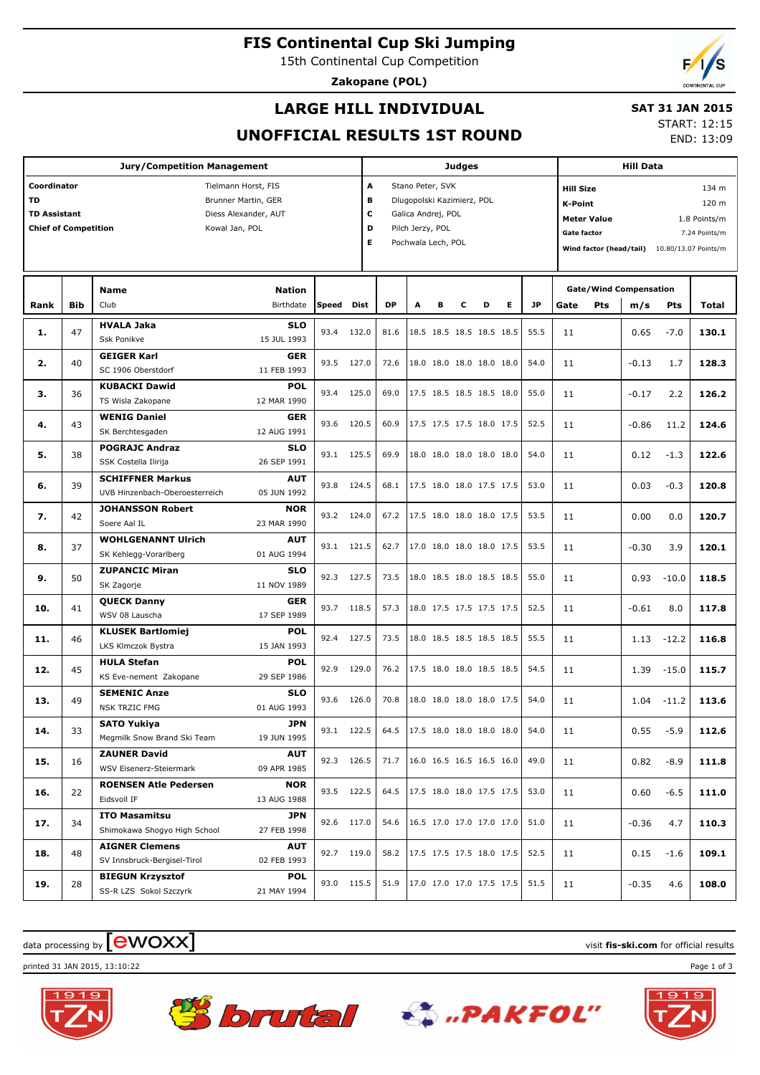**FIS Continental Cup Ski Jumping**

15th Continental Cup Competition

**Zakopane (POL)**

# **LARGE HILL INDIVIDUAL**

 **SAT 31 JAN 2015**

#### END: 13:09

### **UNOFFICIAL RESULTS 1ST ROUND**

START: 12:15

| Jury/Competition Management                        |            |                                               |            |             |           | <b>Judges</b>                   |                          |   |                          |   |      |                                     | <b>Hill Data</b>                   |                               |         |                                              |  |  |
|----------------------------------------------------|------------|-----------------------------------------------|------------|-------------|-----------|---------------------------------|--------------------------|---|--------------------------|---|------|-------------------------------------|------------------------------------|-------------------------------|---------|----------------------------------------------|--|--|
| Coordinator<br>Tielmann Horst, FIS                 |            |                                               |            |             |           | A<br>Stano Peter, SVK           |                          |   |                          |   |      |                                     | <b>Hill Size</b><br>134 m          |                               |         |                                              |  |  |
| <b>TD</b><br>Brunner Martin, GER                   |            |                                               |            |             |           | в<br>Dlugopolski Kazimierz, POL |                          |   |                          |   |      |                                     | <b>K-Point</b><br>120 m            |                               |         |                                              |  |  |
| <b>TD Assistant</b><br>Diess Alexander, AUT        |            |                                               |            |             |           | c<br>Galica Andrej, POL         |                          |   |                          |   |      |                                     | <b>Meter Value</b><br>1.8 Points/m |                               |         |                                              |  |  |
| <b>Chief of Competition</b><br>D<br>Kowal Jan, POL |            |                                               |            |             |           | Pilch Jerzy, POL                |                          |   |                          |   |      | <b>Gate factor</b><br>7.24 Points/m |                                    |                               |         |                                              |  |  |
|                                                    |            |                                               |            |             |           | Pochwala Lech, POL              |                          |   |                          |   |      |                                     |                                    |                               |         | Wind factor (head/tail) 10.80/13.07 Points/m |  |  |
|                                                    |            |                                               |            |             |           |                                 |                          |   |                          |   |      |                                     |                                    |                               |         |                                              |  |  |
|                                                    |            |                                               |            |             |           |                                 |                          |   |                          |   |      |                                     |                                    |                               |         |                                              |  |  |
|                                                    |            | <b>Nation</b><br>Name                         |            |             |           |                                 |                          |   |                          |   |      |                                     |                                    | <b>Gate/Wind Compensation</b> |         |                                              |  |  |
| Rank                                               | <b>Bib</b> | Club<br>Birthdate                             | Speed      | <b>Dist</b> | <b>DP</b> | A                               | в                        | c | D                        | Е | JP   | Gate                                | Pts                                | m/s                           | Pts     | Total                                        |  |  |
|                                                    |            | <b>HVALA Jaka</b><br><b>SLO</b>               |            |             |           |                                 |                          |   |                          |   |      |                                     |                                    |                               |         |                                              |  |  |
| 1.                                                 | 47         | Ssk Ponikve<br>15 JUL 1993                    | 93.4       | 132.0       | 81.6      |                                 |                          |   | 18.5 18.5 18.5 18.5 18.5 |   | 55.5 | 11                                  |                                    | 0.65                          | $-7.0$  | 130.1                                        |  |  |
|                                                    |            | <b>GEIGER Karl</b><br><b>GER</b>              |            |             |           |                                 |                          |   |                          |   |      |                                     |                                    |                               |         |                                              |  |  |
| 2.                                                 | 40         | SC 1906 Oberstdorf<br>11 FEB 1993             | 93.5       | 127.0       | 72.6      |                                 |                          |   | 18.0 18.0 18.0 18.0 18.0 |   | 54.0 | 11                                  |                                    | $-0.13$                       | 1.7     | 128.3                                        |  |  |
|                                                    |            | <b>KUBACKI Dawid</b><br><b>POL</b>            |            |             |           |                                 |                          |   |                          |   |      |                                     |                                    |                               |         |                                              |  |  |
| з.                                                 | 36         | TS Wisla Zakopane<br>12 MAR 1990              | 93.4       | 125.0       |           |                                 |                          |   | 17.5 18.5 18.5 18.5 18.0 |   | 55.0 | 11                                  |                                    | 2.2<br>$-0.17$                |         | 126.2                                        |  |  |
|                                                    |            | <b>WENIG Daniel</b><br><b>GER</b>             |            |             |           |                                 |                          |   |                          |   |      |                                     |                                    |                               |         |                                              |  |  |
| 4.                                                 | 43         | SK Berchtesgaden<br>12 AUG 1991               | 93.6       | 120.5       | 60.9      |                                 |                          |   | 17.5 17.5 17.5 18.0 17.5 |   | 52.5 | 11                                  |                                    | $-0.86$                       | 11.2    | 124.6                                        |  |  |
|                                                    |            | <b>POGRAJC Andraz</b><br><b>SLO</b>           |            |             |           |                                 |                          |   |                          |   |      |                                     |                                    |                               |         |                                              |  |  |
| 5.                                                 | 38         | SSK Costella Ilirija<br>26 SEP 1991           | 93.1       | 125.5       | 69.9      |                                 |                          |   | 18.0 18.0 18.0 18.0 18.0 |   | 54.0 | 11                                  |                                    | 0.12<br>$-1.3$                |         | 122.6                                        |  |  |
|                                                    |            | <b>SCHIFFNER Markus</b><br><b>AUT</b>         |            |             |           |                                 |                          |   |                          |   |      |                                     |                                    |                               |         |                                              |  |  |
| 6.                                                 | 39         | UVB Hinzenbach-Oberoesterreich<br>05 JUN 1992 | 93.8       | 124.5       | 68.1      |                                 | 17.5 18.0 18.0 17.5 17.5 |   |                          |   | 53.0 | 11                                  |                                    | 0.03                          | $-0.3$  | 120.8                                        |  |  |
|                                                    |            | <b>JOHANSSON Robert</b><br><b>NOR</b>         |            |             |           |                                 |                          |   |                          |   |      |                                     |                                    |                               |         |                                              |  |  |
| 7.                                                 | 42         | Soere Aal IL<br>23 MAR 1990                   | 93.2       | 124.0       | 67.2      |                                 |                          |   | 17.5 18.0 18.0 18.0 17.5 |   | 53.5 | 11                                  |                                    | 0.00                          | 0.0     | 120.7                                        |  |  |
|                                                    |            | <b>AUT</b>                                    |            |             |           |                                 |                          |   |                          |   |      |                                     |                                    |                               |         |                                              |  |  |
| 8.                                                 | 37         | <b>WOHLGENANNT Ulrich</b>                     | 93.1 121.5 |             | 62.7      |                                 |                          |   | 17.0 18.0 18.0 18.0 17.5 |   | 53.5 | 11                                  |                                    | $-0.30$                       | 3.9     | 120.1                                        |  |  |
|                                                    |            | SK Kehlegg-Vorarlberg<br>01 AUG 1994          |            |             |           |                                 |                          |   |                          |   |      |                                     |                                    |                               |         |                                              |  |  |
| 9.                                                 | 50         | <b>ZUPANCIC Miran</b><br><b>SLO</b>           | 92.3       | 127.5       | 73.5      |                                 |                          |   | 18.0 18.5 18.0 18.5 18.5 |   | 55.0 | 11                                  |                                    | 0.93                          | $-10.0$ | 118.5                                        |  |  |
|                                                    |            | SK Zagorje<br>11 NOV 1989                     |            |             |           |                                 |                          |   |                          |   |      |                                     |                                    |                               |         |                                              |  |  |
| 10.                                                | 41         | <b>QUECK Danny</b><br><b>GER</b>              | 93.7       | 118.5       | 57.3      |                                 |                          |   | 18.0 17.5 17.5 17.5 17.5 |   | 52.5 | 11                                  |                                    | $-0.61$                       | 8.0     | 117.8                                        |  |  |
|                                                    |            | WSV 08 Lauscha<br>17 SEP 1989                 |            |             |           |                                 |                          |   |                          |   |      |                                     |                                    |                               |         |                                              |  |  |
| 11.                                                | 46         | <b>POL</b><br><b>KLUSEK Bartlomiej</b>        | 92.4       | 127.5       | 73.5      |                                 |                          |   | 18.0 18.5 18.5 18.5 18.5 |   | 55.5 | 11                                  |                                    | 1.13                          | $-12.2$ | 116.8                                        |  |  |
|                                                    |            | LKS Klmczok Bystra<br>15 JAN 1993             |            |             |           |                                 |                          |   |                          |   |      |                                     |                                    |                               |         |                                              |  |  |
| 12.                                                | 45         | <b>HULA Stefan</b><br><b>POL</b>              | 92.9       | 129.0       | 76.2      |                                 |                          |   | 17.5 18.0 18.0 18.5 18.5 |   | 54.5 | 11                                  |                                    | 1.39                          | $-15.0$ | 115.7                                        |  |  |
|                                                    |            | KS Eve-nement Zakopane<br>29 SEP 1986         |            |             |           |                                 |                          |   |                          |   |      |                                     |                                    |                               |         |                                              |  |  |
| 13.                                                | 49         | <b>SLO</b><br><b>SEMENIC Anze</b>             | 93.6       | 126.0       | 70.8      |                                 |                          |   | 18.0 18.0 18.0 18.0 17.5 |   | 54.0 | 11                                  |                                    | 1.04                          | $-11.2$ | 113.6                                        |  |  |
|                                                    |            | 01 AUG 1993<br><b>NSK TRZIC FMG</b>           |            |             |           |                                 |                          |   |                          |   |      |                                     |                                    |                               |         |                                              |  |  |
| 14.                                                | 33         | <b>SATO Yukiya</b><br>JPN                     | 93.1       | 122.5       | 64.5      |                                 |                          |   | 17.5 18.0 18.0 18.0 18.0 |   | 54.0 | 11                                  |                                    | 0.55                          | $-5.9$  | 112.6                                        |  |  |
|                                                    |            | Megmilk Snow Brand Ski Team<br>19 JUN 1995    |            |             |           |                                 |                          |   |                          |   |      |                                     |                                    |                               |         |                                              |  |  |
| 15.                                                | 16         | <b>ZAUNER David</b><br><b>AUT</b>             | 92.3 126.5 |             | 71.7      |                                 |                          |   | 16.0 16.5 16.5 16.5 16.0 |   | 49.0 | 11                                  |                                    | 0.82                          | $-8.9$  | 111.8                                        |  |  |
|                                                    |            | WSV Eisenerz-Steiermark<br>09 APR 1985        |            |             |           |                                 |                          |   |                          |   |      |                                     |                                    |                               |         |                                              |  |  |
| 16.                                                | 22         | <b>ROENSEN Atle Pedersen</b><br><b>NOR</b>    | 93.5 122.5 |             | 64.5      |                                 |                          |   | 17.5 18.0 18.0 17.5 17.5 |   | 53.0 | 11                                  |                                    | 0.60                          | $-6.5$  | 111.0                                        |  |  |
|                                                    |            | Eidsvoll IF<br>13 AUG 1988                    |            |             |           |                                 |                          |   |                          |   |      |                                     |                                    |                               |         |                                              |  |  |
| 17.                                                | 34         | <b>ITO Masamitsu</b><br>JPN                   | 92.6 117.0 |             | 54.6      |                                 |                          |   | 16.5 17.0 17.0 17.0 17.0 |   | 51.0 | 11                                  |                                    | $-0.36$                       | 4.7     | 110.3                                        |  |  |
|                                                    |            | Shimokawa Shoqyo High School<br>27 FEB 1998   |            |             |           |                                 |                          |   |                          |   |      |                                     |                                    |                               |         |                                              |  |  |
| 18.                                                | 48         | <b>AIGNER Clemens</b><br><b>AUT</b>           | 92.7 119.0 |             | 58.2      |                                 |                          |   | 17.5 17.5 17.5 18.0 17.5 |   | 52.5 | 11                                  |                                    | 0.15                          | $-1.6$  | 109.1                                        |  |  |
|                                                    |            | SV Innsbruck-Bergisel-Tirol<br>02 FEB 1993    |            |             |           |                                 |                          |   |                          |   |      |                                     |                                    |                               |         |                                              |  |  |
| 19.                                                | 28         | <b>BIEGUN Krzysztof</b><br><b>POL</b>         | 93.0 115.5 |             | 51.9      |                                 |                          |   | 17.0 17.0 17.0 17.5 17.5 |   | 51.5 | 11                                  |                                    | $-0.35$                       | 4.6     | 108.0                                        |  |  |
|                                                    |            | SS-R LZS Sokol Szczyrk<br>21 MAY 1994         |            |             |           |                                 |                          |   |                          |   |      |                                     |                                    |                               |         |                                              |  |  |
|                                                    |            |                                               |            |             |           |                                 |                          |   |                          |   |      |                                     |                                    |                               |         |                                              |  |  |

 $\frac{1}{2}$  data processing by  $\boxed{\text{ewOX}}$ 

printed 31 JAN 2015, 13:10:22 Page 1 of 3







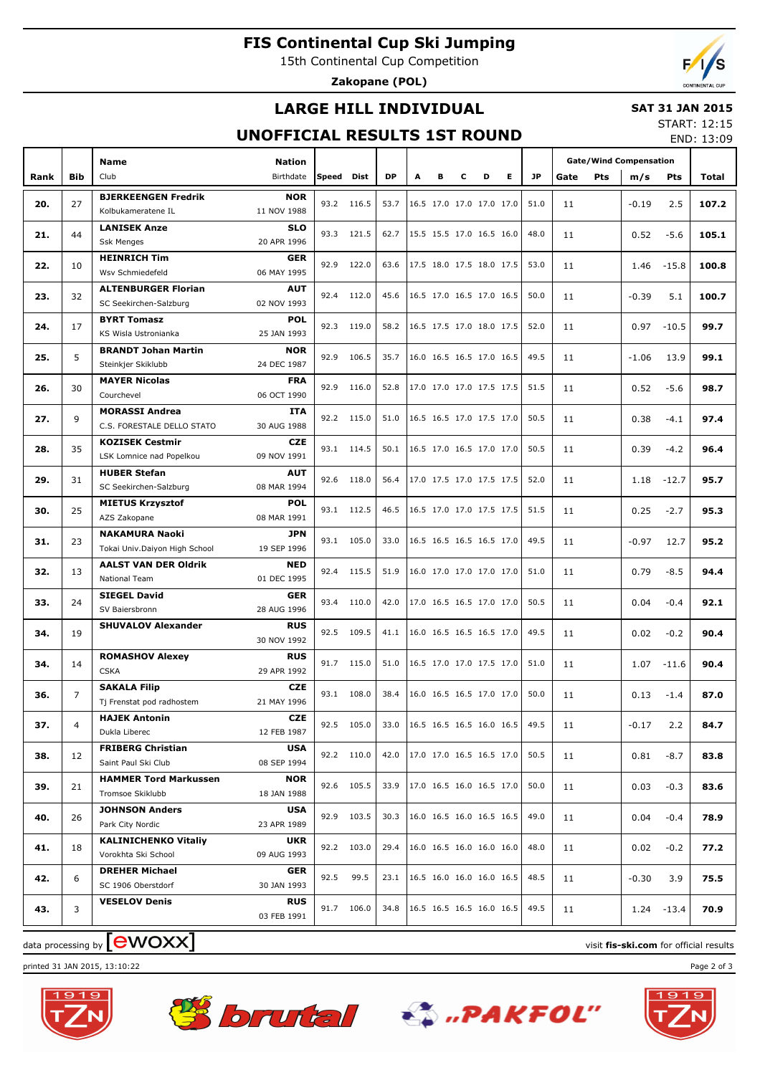# **FIS Continental Cup Ski Jumping**

15th Continental Cup Competition

**Zakopane (POL)**

# **LARGE HILL INDIVIDUAL**

#### **SAT 31 JAN 2015**

## **UNOFFICIAL RESULTS 1ST ROUND**

START: 12:15 END: 13:09

|      |                | <b>Name</b>                                      | <b>Nation</b>             |            |            |           |   |   |   |                          |    |           | <b>Gate/Wind Compensation</b> |     |         |               |       |
|------|----------------|--------------------------------------------------|---------------------------|------------|------------|-----------|---|---|---|--------------------------|----|-----------|-------------------------------|-----|---------|---------------|-------|
| Rank | <b>Bib</b>     | Club                                             | Birthdate                 | Speed Dist |            | <b>DP</b> | A | в | c | D                        | E. | <b>JP</b> | Gate                          | Pts | m/s     | <b>Pts</b>    | Total |
|      |                | <b>BJERKEENGEN Fredrik</b>                       | <b>NOR</b>                |            |            |           |   |   |   |                          |    |           |                               |     |         |               |       |
| 20.  | 27             | Kolbukameratene IL                               | 11 NOV 1988               |            | 93.2 116.5 | 53.7      |   |   |   | 16.5 17.0 17.0 17.0 17.0 |    | 51.0      | 11                            |     | $-0.19$ | 2.5           | 107.2 |
| 21.  | 44             | <b>LANISEK Anze</b>                              | <b>SLO</b>                |            | 93.3 121.5 | 62.7      |   |   |   | 15.5 15.5 17.0 16.5 16.0 |    | 48.0      | 11                            |     | 0.52    | $-5.6$        | 105.1 |
|      |                | <b>Ssk Menges</b>                                | 20 APR 1996               |            |            |           |   |   |   |                          |    |           |                               |     |         |               |       |
| 22.  | 10             | <b>HEINRICH Tim</b>                              | <b>GER</b>                | 92.9       | 122.0      | 63.6      |   |   |   | 17.5 18.0 17.5 18.0 17.5 |    | 53.0      | 11                            |     | 1.46    | $-15.8$       | 100.8 |
|      |                | Wsv Schmiedefeld                                 | 06 MAY 1995               |            |            |           |   |   |   |                          |    |           |                               |     |         |               |       |
| 23.  | 32             | <b>ALTENBURGER Florian</b>                       | <b>AUT</b>                |            | 92.4 112.0 | 45.6      |   |   |   | 16.5 17.0 16.5 17.0 16.5 |    | 50.0      | 11                            |     | $-0.39$ | 5.1           | 100.7 |
|      |                | SC Seekirchen-Salzburg                           | 02 NOV 1993               |            |            |           |   |   |   |                          |    |           |                               |     |         |               |       |
| 24.  | 17             | <b>BYRT Tomasz</b>                               | <b>POL</b>                |            | 92.3 119.0 | 58.2      |   |   |   | 16.5 17.5 17.0 18.0 17.5 |    | 52.0      | 11                            |     | 0.97    | $-10.5$       | 99.7  |
|      |                | KS Wisla Ustronianka                             | 25 JAN 1993               |            |            |           |   |   |   |                          |    |           |                               |     |         |               |       |
| 25.  | 5              | <b>BRANDT Johan Martin</b><br>Steinkjer Skiklubb | <b>NOR</b><br>24 DEC 1987 | 92.9       | 106.5      | 35.7      |   |   |   | 16.0 16.5 16.5 17.0 16.5 |    | 49.5      | 11                            |     | $-1.06$ | 13.9          | 99.1  |
|      |                | <b>MAYER Nicolas</b>                             | <b>FRA</b>                |            |            |           |   |   |   |                          |    |           |                               |     |         |               |       |
| 26.  | 30             | Courchevel                                       | 06 OCT 1990               | 92.9       | 116.0      | 52.8      |   |   |   | 17.0 17.0 17.0 17.5 17.5 |    | 51.5      | 11                            |     | 0.52    | $-5.6$        | 98.7  |
|      |                | <b>MORASSI Andrea</b>                            | <b>ITA</b>                |            |            |           |   |   |   |                          |    |           |                               |     |         |               |       |
| 27.  | 9              | C.S. FORESTALE DELLO STATO                       | 30 AUG 1988               |            | 92.2 115.0 | 51.0      |   |   |   | 16.5 16.5 17.0 17.5 17.0 |    | 50.5      | 11                            |     | 0.38    | $-4.1$        | 97.4  |
|      |                | <b>KOZISEK Cestmir</b>                           | CZE.                      |            |            |           |   |   |   |                          |    |           |                               |     |         |               |       |
| 28.  | 35             | LSK Lomnice nad Popelkou                         | 09 NOV 1991               |            | 93.1 114.5 | 50.1      |   |   |   | 16.5 17.0 16.5 17.0 17.0 |    | 50.5      | 11                            |     | 0.39    | $-4.2$        | 96.4  |
|      |                | <b>HUBER Stefan</b>                              | <b>AUT</b>                |            |            |           |   |   |   |                          |    |           |                               |     |         |               |       |
| 29.  | 31             | SC Seekirchen-Salzburg                           | 08 MAR 1994               |            | 92.6 118.0 | 56.4      |   |   |   | 17.0 17.5 17.0 17.5 17.5 |    | 52.0      | 11                            |     | 1.18    | $-12.7$       | 95.7  |
| 30.  | 25             | <b>MIETUS Krzysztof</b>                          | <b>POL</b>                |            | 93.1 112.5 | 46.5      |   |   |   | 16.5 17.0 17.0 17.5 17.5 |    | 51.5      | 11                            |     | 0.25    | $-2.7$        | 95.3  |
|      |                | AZS Zakopane                                     | 08 MAR 1991               |            |            |           |   |   |   |                          |    |           |                               |     |         |               |       |
| 31.  | 23             | <b>NAKAMURA Naoki</b>                            | <b>JPN</b>                |            | 93.1 105.0 | 33.0      |   |   |   | 16.5 16.5 16.5 16.5 17.0 |    | 49.5      | 11                            |     | $-0.97$ | 12.7          | 95.2  |
|      |                | Tokai Univ.Daiyon High School                    | 19 SEP 1996               |            |            |           |   |   |   |                          |    |           |                               |     |         |               |       |
| 32.  | 13             | <b>AALST VAN DER Oldrik</b>                      | <b>NED</b>                | 92.4       | 115.5      | 51.9      |   |   |   | 16.0 17.0 17.0 17.0 17.0 |    | 51.0      | 11                            |     | 0.79    | $-8.5$        | 94.4  |
|      |                | National Team                                    | 01 DEC 1995               |            |            |           |   |   |   |                          |    |           |                               |     |         |               |       |
| 33.  | 24             | <b>SIEGEL David</b>                              | <b>GER</b>                |            | 93.4 110.0 | 42.0      |   |   |   | 17.0 16.5 16.5 17.0 17.0 |    | 50.5      | 11                            |     | 0.04    | $-0.4$        | 92.1  |
|      |                | SV Baiersbronn                                   | 28 AUG 1996               |            |            |           |   |   |   |                          |    |           |                               |     |         |               |       |
| 34.  | 19             | <b>SHUVALOV Alexander</b>                        | <b>RUS</b><br>30 NOV 1992 |            | 92.5 109.5 | 41.1      |   |   |   | 16.0 16.5 16.5 16.5 17.0 |    | 49.5      | 11                            |     | 0.02    | $-0.2$        | 90.4  |
|      |                | <b>ROMASHOV Alexey</b>                           | <b>RUS</b>                |            |            |           |   |   |   |                          |    |           |                               |     |         |               |       |
| 34.  | 14             | <b>CSKA</b>                                      | 29 APR 1992               |            | 91.7 115.0 | 51.0      |   |   |   | 16.5 17.0 17.0 17.5 17.0 |    | 51.0      | 11                            |     | 1.07    | $-11.6$       | 90.4  |
|      |                | <b>SAKALA Filip</b>                              | <b>CZE</b>                |            |            |           |   |   |   |                          |    |           |                               |     |         |               |       |
| 36.  | $\overline{7}$ | Tj Frenstat pod radhostem                        | 21 MAY 1996               | 93.1       | 108.0      | 38.4      |   |   |   | 16.0 16.5 16.5 17.0 17.0 |    | 50.0      | 11                            |     | 0.13    | $-1.4$        | 87.0  |
|      |                | <b>HAJEK Antonin</b>                             | CZE                       |            |            |           |   |   |   |                          |    |           |                               |     |         |               |       |
| 37.  | 4              | Dukla Liberec                                    | 12 FEB 1987               |            | 92.5 105.0 | 33.0      |   |   |   | 16.5 16.5 16.5 16.0 16.5 |    | 49.5      | 11                            |     | -0.17   | 2.2           | 84.7  |
|      |                | <b>FRIBERG Christian</b>                         | USA                       |            | 92.2 110.0 | 42.0      |   |   |   | 17.0 17.0 16.5 16.5 17.0 |    | 50.5      |                               |     |         |               |       |
| 38.  | 12             | Saint Paul Ski Club                              | 08 SEP 1994               |            |            |           |   |   |   |                          |    |           | 11                            |     | 0.81    | $-8.7$        | 83.8  |
| 39.  | 21             | <b>HAMMER Tord Markussen</b>                     | <b>NOR</b>                |            | 92.6 105.5 | 33.9      |   |   |   | 17.0 16.5 16.0 16.5 17.0 |    | 50.0      | 11                            |     | 0.03    | $-0.3$        | 83.6  |
|      |                | Tromsoe Skiklubb                                 | 18 JAN 1988               |            |            |           |   |   |   |                          |    |           |                               |     |         |               |       |
| 40.  | 26             | <b>JOHNSON Anders</b>                            | USA                       |            | 92.9 103.5 | 30.3      |   |   |   | 16.0 16.5 16.0 16.5 16.5 |    | 49.0      | 11                            |     | 0.04    | $-0.4$        | 78.9  |
|      |                | Park City Nordic                                 | 23 APR 1989               |            |            |           |   |   |   |                          |    |           |                               |     |         |               |       |
| 41.  | 18             | <b>KALINICHENKO Vitaliy</b>                      | <b>UKR</b>                |            | 92.2 103.0 | 29.4      |   |   |   | 16.0 16.5 16.0 16.0 16.0 |    | 48.0      | 11                            |     | 0.02    | $-0.2$        | 77.2  |
|      |                | Vorokhta Ski School                              | 09 AUG 1993               |            |            |           |   |   |   |                          |    |           |                               |     |         |               |       |
| 42.  | 6              | <b>DREHER Michael</b>                            | <b>GER</b>                |            | 92.5 99.5  | 23.1      |   |   |   | 16.5 16.0 16.0 16.0 16.5 |    | 48.5      | 11                            |     | $-0.30$ | 3.9           | 75.5  |
|      |                | SC 1906 Oberstdorf                               | 30 JAN 1993               |            |            |           |   |   |   |                          |    |           |                               |     |         |               |       |
| 43.  | 3              | <b>VESELOV Denis</b>                             | <b>RUS</b><br>03 FEB 1991 |            | 91.7 106.0 | 34.8      |   |   |   | 16.5 16.5 16.5 16.0 16.5 |    | 49.5      | 11                            |     |         | $1.24 - 13.4$ | 70.9  |
|      |                |                                                  |                           |            |            |           |   |   |   |                          |    |           |                               |     |         |               |       |

 $\frac{1}{2}$  data processing by  $\boxed{\text{ewOX}}$ 

printed 31 JAN 2015, 13:10:22 Page 2 of 3